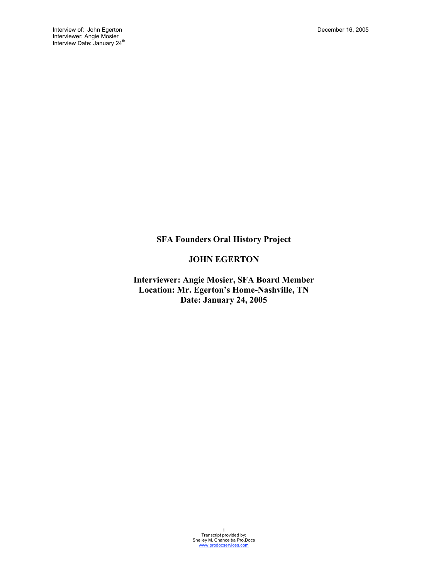**SFA Founders Oral History Project**

# **JOHN EGERTON**

**Interviewer: Angie Mosier, SFA Board Member Location: Mr. Egerton's Home-Nashville, TN Date: January 24, 2005**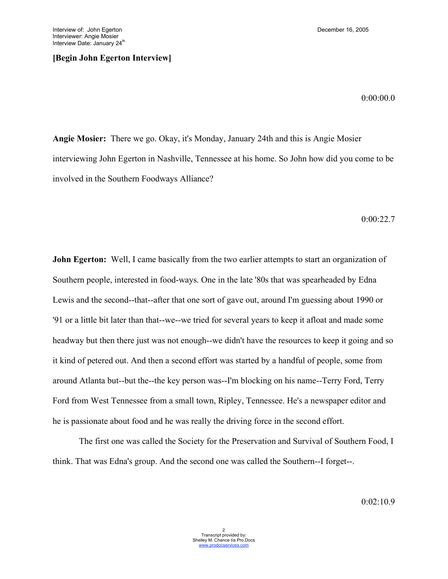## **[Begin John Egerton Interview]**

0:00:00.0

**Angie Mosier:** There we go. Okay, it's Monday, January 24th and this is Angie Mosier interviewing John Egerton in Nashville, Tennessee at his home. So John how did you come to be involved in the Southern Foodways Alliance?

0:00:22.7

**John Egerton:** Well, I came basically from the two earlier attempts to start an organization of Southern people, interested in food-ways. One in the late '80s that was spearheaded by Edna Lewis and the second--that--after that one sort of gave out, around I'm guessing about 1990 or '91 or a little bit later than that--we--we tried for several years to keep it afloat and made some headway but then there just was not enough--we didn't have the resources to keep it going and so it kind of petered out. And then a second effort was started by a handful of people, some from around Atlanta but--but the--the key person was--I'm blocking on his name--Terry Ford, Terry Ford from West Tennessee from a small town, Ripley, Tennessee. He's a newspaper editor and he is passionate about food and he was really the driving force in the second effort.

The first one was called the Society for the Preservation and Survival of Southern Food, I think. That was Edna's group. And the second one was called the Southern--I forget--.

 $0:02:10.9$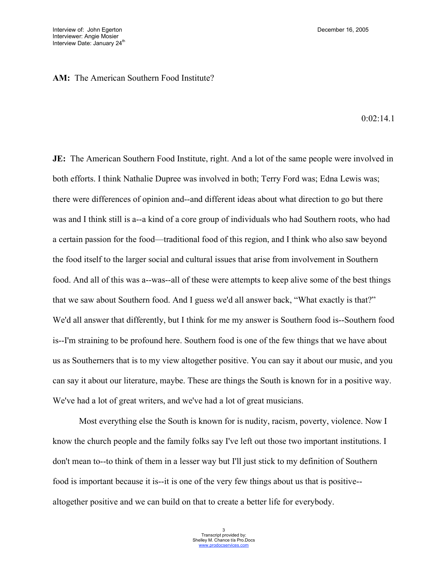## **AM:** The American Southern Food Institute?

 $0.02.14.1$ 

**JE:** The American Southern Food Institute, right. And a lot of the same people were involved in both efforts. I think Nathalie Dupree was involved in both; Terry Ford was; Edna Lewis was; there were differences of opinion and--and different ideas about what direction to go but there was and I think still is a--a kind of a core group of individuals who had Southern roots, who had a certain passion for the food—traditional food of this region, and I think who also saw beyond the food itself to the larger social and cultural issues that arise from involvement in Southern food. And all of this was a--was--all of these were attempts to keep alive some of the best things that we saw about Southern food. And I guess we'd all answer back, "What exactly is that?" We'd all answer that differently, but I think for me my answer is Southern food is--Southern food is--I'm straining to be profound here. Southern food is one of the few things that we have about us as Southerners that is to my view altogether positive. You can say it about our music, and you can say it about our literature, maybe. These are things the South is known for in a positive way. We've had a lot of great writers, and we've had a lot of great musicians.

Most everything else the South is known for is nudity, racism, poverty, violence. Now I know the church people and the family folks say I've left out those two important institutions. I don't mean to--to think of them in a lesser way but I'll just stick to my definition of Southern food is important because it is--it is one of the very few things about us that is positive- altogether positive and we can build on that to create a better life for everybody.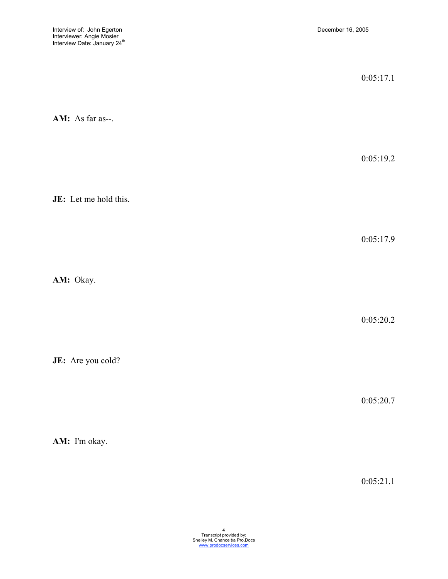|                       | 0:05:17.1 |
|-----------------------|-----------|
| AM: As far as--.      |           |
|                       | 0:05:19.2 |
| JE: Let me hold this. |           |
|                       | 0:05:17.9 |
| AM: Okay.             |           |
|                       | 0:05:20.2 |
| JE: Are you cold?     |           |
|                       | 0:05:20.7 |

**AM:** I'm okay.

0:05:21.1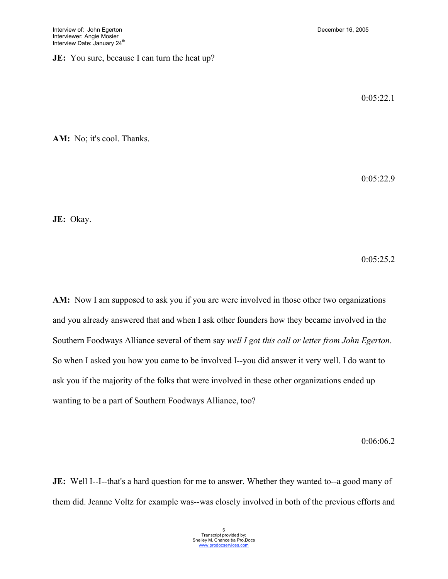# **JE:** You sure, because I can turn the heat up?

 $0:05:22.1$ 

**AM:** No; it's cool. Thanks.

0:05:22.9

**JE:** Okay.

0:05:25.2

AM: Now I am supposed to ask you if you are were involved in those other two organizations and you already answered that and when I ask other founders how they became involved in the Southern Foodways Alliance several of them say *well I got this call or letter from John Egerton*. So when I asked you how you came to be involved I--you did answer it very well. I do want to ask you if the majority of the folks that were involved in these other organizations ended up wanting to be a part of Southern Foodways Alliance, too?

0:06:06.2

**JE:** Well I--I--that's a hard question for me to answer. Whether they wanted to--a good many of them did. Jeanne Voltz for example was--was closely involved in both of the previous efforts and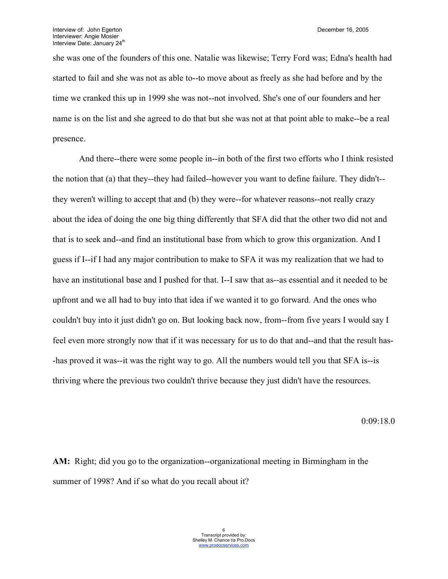she was one of the founders of this one. Natalie was likewise; Terry Ford was; Edna's health had started to fail and she was not as able to--to move about as freely as she had before and by the time we cranked this up in 1999 she was not--not involved. She's one of our founders and her name is on the list and she agreed to do that but she was not at that point able to make--be a real presence.

And there--there were some people in--in both of the first two efforts who I think resisted the notion that (a) that they--they had failed--however you want to define failure. They didn't- they weren't willing to accept that and (b) they were--for whatever reasons--not really crazy about the idea of doing the one big thing differently that SFA did that the other two did not and that is to seek and--and find an institutional base from which to grow this organization. And I guess if I--if I had any major contribution to make to SFA it was my realization that we had to have an institutional base and I pushed for that. I--I saw that as--as essential and it needed to be upfront and we all had to buy into that idea if we wanted it to go forward. And the ones who couldn't buy into it just didn't go on. But looking back now, from--from five years I would say I feel even more strongly now that if it was necessary for us to do that and--and that the result has- -has proved it was--it was the right way to go. All the numbers would tell you that SFA is--is thriving where the previous two couldn't thrive because they just didn't have the resources.

0:09:18.0

**AM:** Right; did you go to the organization--organizational meeting in Birmingham in the summer of 1998? And if so what do you recall about it?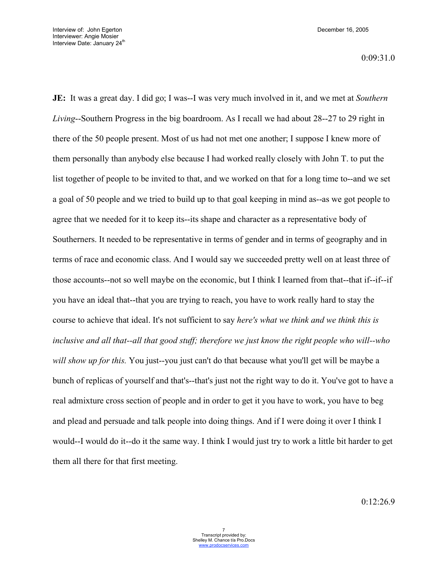0:09:31.0

**JE:** It was a great day. I did go; I was--I was very much involved in it, and we met at *Southern Living*--Southern Progress in the big boardroom. As I recall we had about 28--27 to 29 right in there of the 50 people present. Most of us had not met one another; I suppose I knew more of them personally than anybody else because I had worked really closely with John T. to put the list together of people to be invited to that, and we worked on that for a long time to--and we set a goal of 50 people and we tried to build up to that goal keeping in mind as--as we got people to agree that we needed for it to keep its--its shape and character as a representative body of Southerners. It needed to be representative in terms of gender and in terms of geography and in terms of race and economic class. And I would say we succeeded pretty well on at least three of those accounts--not so well maybe on the economic, but I think I learned from that--that if--if--if you have an ideal that--that you are trying to reach, you have to work really hard to stay the course to achieve that ideal. It's not sufficient to say *here's what we think and we think this is inclusive and all that--all that good stuff; therefore we just know the right people who will--who will show up for this.* You just--you just can't do that because what you'll get will be maybe a bunch of replicas of yourself and that's--that's just not the right way to do it. You've got to have a real admixture cross section of people and in order to get it you have to work, you have to beg and plead and persuade and talk people into doing things. And if I were doing it over I think I would--I would do it--do it the same way. I think I would just try to work a little bit harder to get them all there for that first meeting.

0:12:26.9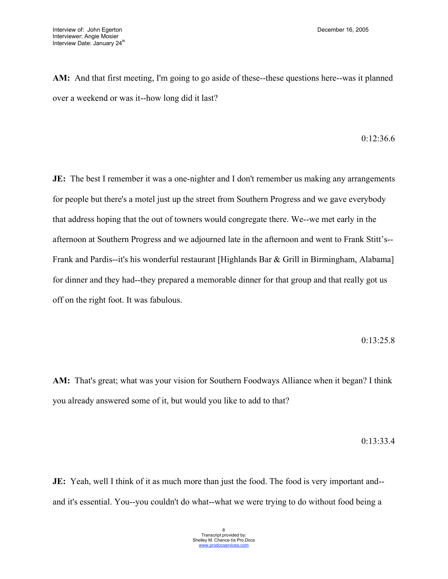**AM:** And that first meeting, I'm going to go aside of these--these questions here--was it planned over a weekend or was it--how long did it last?

## 0:12:36.6

**JE:** The best I remember it was a one-nighter and I don't remember us making any arrangements for people but there's a motel just up the street from Southern Progress and we gave everybody that address hoping that the out of towners would congregate there. We--we met early in the afternoon at Southern Progress and we adjourned late in the afternoon and went to Frank Stitt's-- Frank and Pardis--it's his wonderful restaurant [Highlands Bar & Grill in Birmingham, Alabama] for dinner and they had--they prepared a memorable dinner for that group and that really got us off on the right foot. It was fabulous.

## 0:13:25.8

AM: That's great; what was your vision for Southern Foodways Alliance when it began? I think you already answered some of it, but would you like to add to that?

0:13:33.4

**JE:** Yeah, well I think of it as much more than just the food. The food is very important and-and it's essential. You--you couldn't do what--what we were trying to do without food being a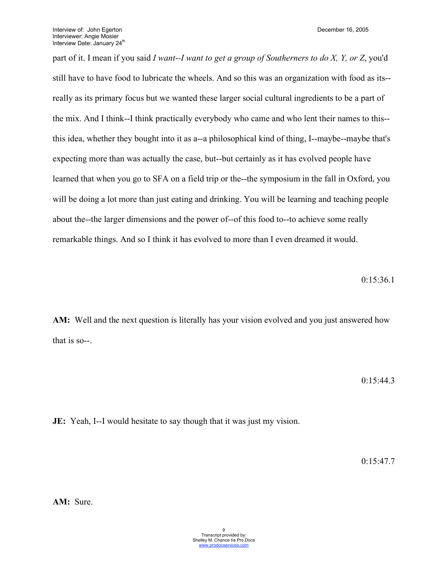part of it. I mean if you said *I want--I want to get a group of Southerners to do X, Y, or Z*, you'd still have to have food to lubricate the wheels. And so this was an organization with food as its- really as its primary focus but we wanted these larger social cultural ingredients to be a part of the mix. And I think--I think practically everybody who came and who lent their names to this- this idea, whether they bought into it as a--a philosophical kind of thing, I--maybe--maybe that's expecting more than was actually the case, but--but certainly as it has evolved people have learned that when you go to SFA on a field trip or the--the symposium in the fall in Oxford, you will be doing a lot more than just eating and drinking. You will be learning and teaching people about the--the larger dimensions and the power of--of this food to--to achieve some really remarkable things. And so I think it has evolved to more than I even dreamed it would.

0:15:36.1

**AM:** Well and the next question is literally has your vision evolved and you just answered how that is so--.

 $0:15:44.3$ 

**JE:** Yeah, I--I would hesitate to say though that it was just my vision.

0:15:47.7

**AM:** Sure.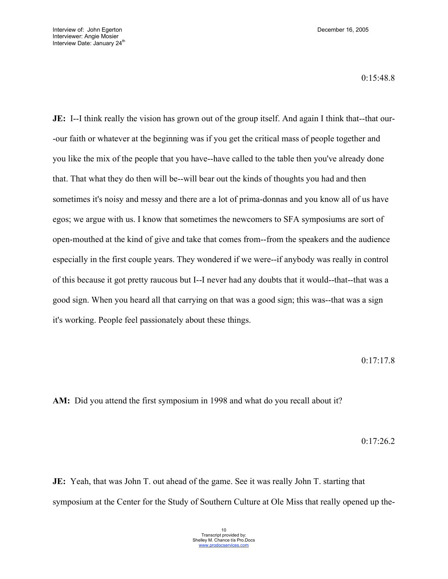0:15:48.8

**JE:** I--I think really the vision has grown out of the group itself. And again I think that--that our--our faith or whatever at the beginning was if you get the critical mass of people together and you like the mix of the people that you have--have called to the table then you've already done that. That what they do then will be--will bear out the kinds of thoughts you had and then sometimes it's noisy and messy and there are a lot of prima-donnas and you know all of us have egos; we argue with us. I know that sometimes the newcomers to SFA symposiums are sort of open-mouthed at the kind of give and take that comes from--from the speakers and the audience especially in the first couple years. They wondered if we were--if anybody was really in control of this because it got pretty raucous but I--I never had any doubts that it would--that--that was a good sign. When you heard all that carrying on that was a good sign; this was--that was a sign it's working. People feel passionately about these things.

0:17:17.8

**AM:** Did you attend the first symposium in 1998 and what do you recall about it?

0:17:26.2

**JE:** Yeah, that was John T. out ahead of the game. See it was really John T. starting that symposium at the Center for the Study of Southern Culture at Ole Miss that really opened up the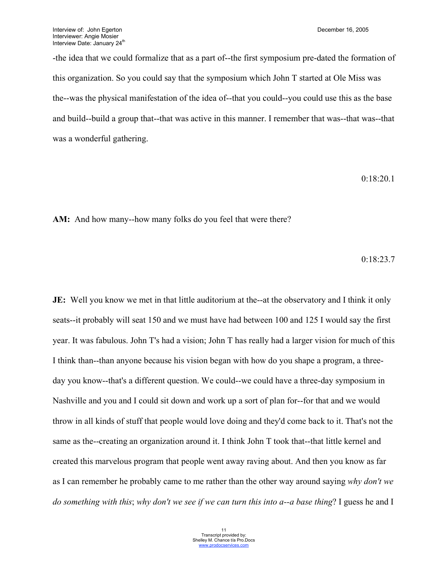-the idea that we could formalize that as a part of--the first symposium pre-dated the formation of this organization. So you could say that the symposium which John T started at Ole Miss was the--was the physical manifestation of the idea of--that you could--you could use this as the base and build--build a group that--that was active in this manner. I remember that was--that was--that was a wonderful gathering.

### 0:18:20.1

AM: And how many--how many folks do you feel that were there?

0:18:23.7

**JE:** Well you know we met in that little auditorium at the--at the observatory and I think it only seats--it probably will seat 150 and we must have had between 100 and 125 I would say the first year. It was fabulous. John T's had a vision; John T has really had a larger vision for much of this I think than--than anyone because his vision began with how do you shape a program, a threeday you know--that's a different question. We could--we could have a three-day symposium in Nashville and you and I could sit down and work up a sort of plan for--for that and we would throw in all kinds of stuff that people would love doing and they'd come back to it. That's not the same as the--creating an organization around it. I think John T took that--that little kernel and created this marvelous program that people went away raving about. And then you know as far as I can remember he probably came to me rather than the other way around saying *why don't we do something with this*; *why don't we see if we can turn this into a--a base thing*? I guess he and I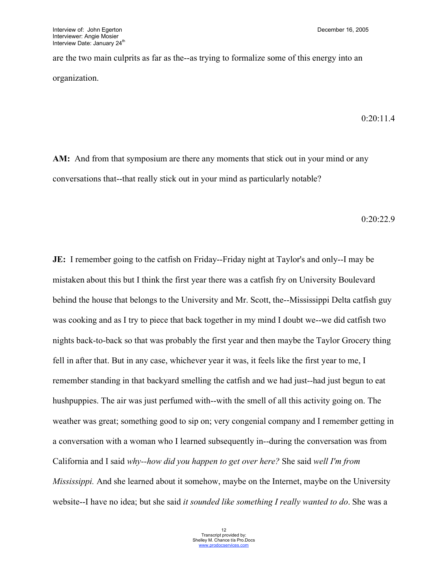are the two main culprits as far as the--as trying to formalize some of this energy into an organization.

0:20:11.4

**AM:** And from that symposium are there any moments that stick out in your mind or any conversations that--that really stick out in your mind as particularly notable?

0:20:22.9

**JE:** I remember going to the catfish on Friday--Friday night at Taylor's and only--I may be mistaken about this but I think the first year there was a catfish fry on University Boulevard behind the house that belongs to the University and Mr. Scott, the--Mississippi Delta catfish guy was cooking and as I try to piece that back together in my mind I doubt we--we did catfish two nights back-to-back so that was probably the first year and then maybe the Taylor Grocery thing fell in after that. But in any case, whichever year it was, it feels like the first year to me, I remember standing in that backyard smelling the catfish and we had just--had just begun to eat hushpuppies. The air was just perfumed with--with the smell of all this activity going on. The weather was great; something good to sip on; very congenial company and I remember getting in a conversation with a woman who I learned subsequently in--during the conversation was from California and I said *why--how did you happen to get over here?* She said *well I'm from Mississippi.* And she learned about it somehow, maybe on the Internet, maybe on the University website--I have no idea; but she said *it sounded like something I really wanted to do*. She was a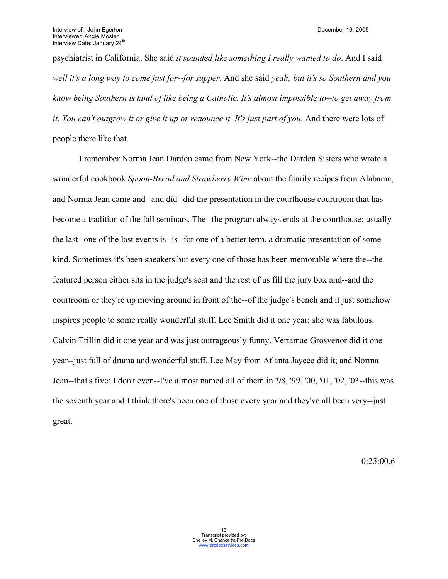psychiatrist in California. She said *it sounded like something I really wanted to do*. And I said *well it's a long way to come just for--for supper*. And she said *yeah; but it's so Southern and you know being Southern is kind of like being a Catholic. It's almost impossible to--to get away from it. You can't outgrow it or give it up or renounce it. It's just part of you*. And there were lots of people there like that.

I remember Norma Jean Darden came from New York--the Darden Sisters who wrote a wonderful cookbook *Spoon-Bread and Strawberry Wine* about the family recipes from Alabama, and Norma Jean came and--and did--did the presentation in the courthouse courtroom that has become a tradition of the fall seminars. The--the program always ends at the courthouse; usually the last--one of the last events is--is--for one of a better term, a dramatic presentation of some kind. Sometimes it's been speakers but every one of those has been memorable where the--the featured person either sits in the judge's seat and the rest of us fill the jury box and--and the courtroom or they're up moving around in front of the--of the judge's bench and it just somehow inspires people to some really wonderful stuff. Lee Smith did it one year; she was fabulous. Calvin Trillin did it one year and was just outrageously funny. Vertamae Grosvenor did it one year--just full of drama and wonderful stuff. Lee May from Atlanta Jaycee did it; and Norma Jean--that's five; I don't even--I've almost named all of them in '98, '99, '00, '01, '02, '03--this was the seventh year and I think there's been one of those every year and they've all been very--just great.

0:25:00.6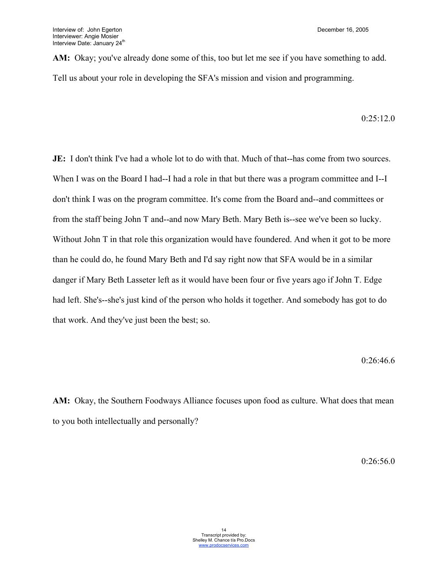**AM:** Okay; you've already done some of this, too but let me see if you have something to add. Tell us about your role in developing the SFA's mission and vision and programming.

0:25:12.0

**JE:** I don't think I've had a whole lot to do with that. Much of that--has come from two sources. When I was on the Board I had--I had a role in that but there was a program committee and I--I don't think I was on the program committee. It's come from the Board and--and committees or from the staff being John T and--and now Mary Beth. Mary Beth is--see we've been so lucky. Without John T in that role this organization would have foundered. And when it got to be more than he could do, he found Mary Beth and I'd say right now that SFA would be in a similar danger if Mary Beth Lasseter left as it would have been four or five years ago if John T. Edge had left. She's--she's just kind of the person who holds it together. And somebody has got to do that work. And they've just been the best; so.

0:26:46.6

**AM:** Okay, the Southern Foodways Alliance focuses upon food as culture. What does that mean to you both intellectually and personally?

0:26:56.0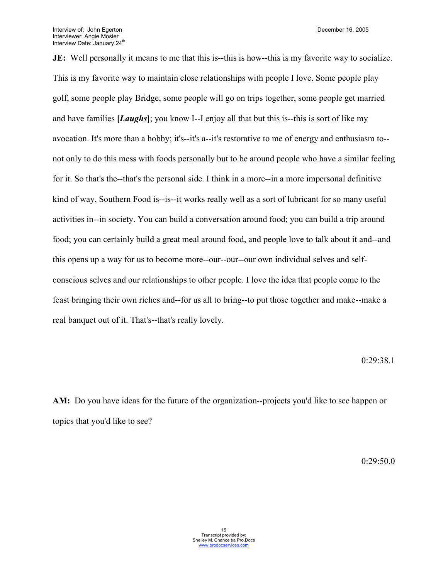**JE:** Well personally it means to me that this is--this is how--this is my favorite way to socialize. This is my favorite way to maintain close relationships with people I love. Some people play golf, some people play Bridge, some people will go on trips together, some people get married and have families **[***Laughs***]**; you know I--I enjoy all that but this is--this is sort of like my avocation. It's more than a hobby; it's--it's a--it's restorative to me of energy and enthusiasm to- not only to do this mess with foods personally but to be around people who have a similar feeling for it. So that's the--that's the personal side. I think in a more--in a more impersonal definitive kind of way, Southern Food is--is--it works really well as a sort of lubricant for so many useful activities in--in society. You can build a conversation around food; you can build a trip around food; you can certainly build a great meal around food, and people love to talk about it and--and this opens up a way for us to become more--our--our--our own individual selves and selfconscious selves and our relationships to other people. I love the idea that people come to the feast bringing their own riches and--for us all to bring--to put those together and make--make a real banquet out of it. That's--that's really lovely.

0:29:38.1

**AM:** Do you have ideas for the future of the organization--projects you'd like to see happen or topics that you'd like to see?

0:29:50.0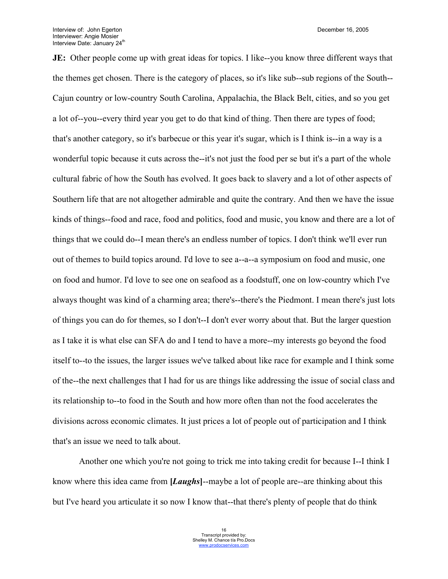**JE:** Other people come up with great ideas for topics. I like--you know three different ways that the themes get chosen. There is the category of places, so it's like sub--sub regions of the South-- Cajun country or low-country South Carolina, Appalachia, the Black Belt, cities, and so you get a lot of--you--every third year you get to do that kind of thing. Then there are types of food; that's another category, so it's barbecue or this year it's sugar, which is I think is--in a way is a wonderful topic because it cuts across the--it's not just the food per se but it's a part of the whole cultural fabric of how the South has evolved. It goes back to slavery and a lot of other aspects of Southern life that are not altogether admirable and quite the contrary. And then we have the issue kinds of things--food and race, food and politics, food and music, you know and there are a lot of things that we could do--I mean there's an endless number of topics. I don't think we'll ever run out of themes to build topics around. I'd love to see a--a--a symposium on food and music, one on food and humor. I'd love to see one on seafood as a foodstuff, one on low-country which I've always thought was kind of a charming area; there's--there's the Piedmont. I mean there's just lots of things you can do for themes, so I don't--I don't ever worry about that. But the larger question as I take it is what else can SFA do and I tend to have a more--my interests go beyond the food itself to--to the issues, the larger issues we've talked about like race for example and I think some of the--the next challenges that I had for us are things like addressing the issue of social class and its relationship to--to food in the South and how more often than not the food accelerates the divisions across economic climates. It just prices a lot of people out of participation and I think that's an issue we need to talk about.

Another one which you're not going to trick me into taking credit for because I--I think I know where this idea came from **[***Laughs***]**--maybe a lot of people are--are thinking about this but I've heard you articulate it so now I know that--that there's plenty of people that do think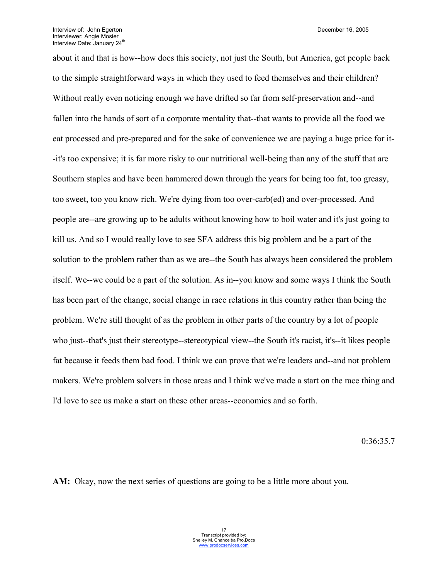about it and that is how--how does this society, not just the South, but America, get people back to the simple straightforward ways in which they used to feed themselves and their children? Without really even noticing enough we have drifted so far from self-preservation and--and fallen into the hands of sort of a corporate mentality that--that wants to provide all the food we eat processed and pre-prepared and for the sake of convenience we are paying a huge price for it- -it's too expensive; it is far more risky to our nutritional well-being than any of the stuff that are Southern staples and have been hammered down through the years for being too fat, too greasy, too sweet, too you know rich. We're dying from too over-carb(ed) and over-processed. And people are--are growing up to be adults without knowing how to boil water and it's just going to kill us. And so I would really love to see SFA address this big problem and be a part of the solution to the problem rather than as we are--the South has always been considered the problem itself. We--we could be a part of the solution. As in--you know and some ways I think the South has been part of the change, social change in race relations in this country rather than being the problem. We're still thought of as the problem in other parts of the country by a lot of people who just--that's just their stereotype--stereotypical view--the South it's racist, it's--it likes people fat because it feeds them bad food. I think we can prove that we're leaders and--and not problem makers. We're problem solvers in those areas and I think we've made a start on the race thing and I'd love to see us make a start on these other areas--economics and so forth.

0:36:35.7

**AM:** Okay, now the next series of questions are going to be a little more about you.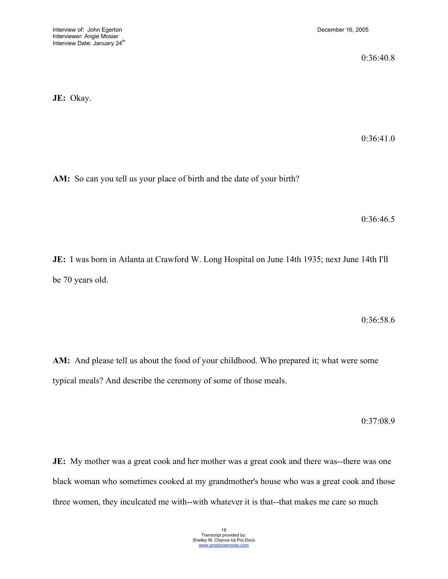0:36:40.8

**JE:** Okay.

0:36:41.0

**AM:** So can you tell us your place of birth and the date of your birth?

0:36:46.5

**JE:** I was born in Atlanta at Crawford W. Long Hospital on June 14th 1935; next June 14th I'll be 70 years old.

0:36:58.6

**AM:** And please tell us about the food of your childhood. Who prepared it; what were some typical meals? And describe the ceremony of some of those meals.

0:37:08.9

**JE:** My mother was a great cook and her mother was a great cook and there was--there was one black woman who sometimes cooked at my grandmother's house who was a great cook and those three women, they inculcated me with--with whatever it is that--that makes me care so much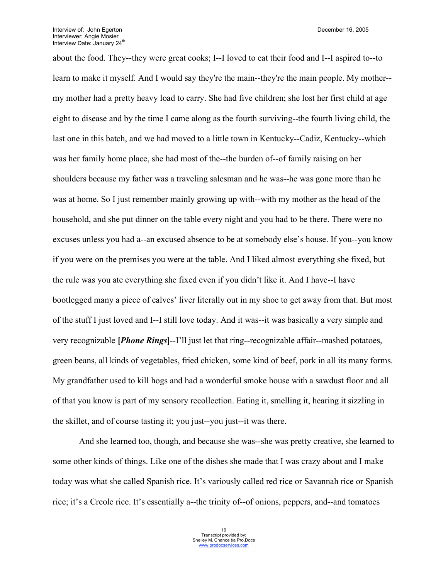about the food. They--they were great cooks; I--I loved to eat their food and I--I aspired to--to learn to make it myself. And I would say they're the main--they're the main people. My mother- my mother had a pretty heavy load to carry. She had five children; she lost her first child at age eight to disease and by the time I came along as the fourth surviving--the fourth living child, the last one in this batch, and we had moved to a little town in Kentucky--Cadiz, Kentucky--which was her family home place, she had most of the--the burden of--of family raising on her shoulders because my father was a traveling salesman and he was--he was gone more than he was at home. So I just remember mainly growing up with--with my mother as the head of the household, and she put dinner on the table every night and you had to be there. There were no excuses unless you had a--an excused absence to be at somebody else's house. If you--you know if you were on the premises you were at the table. And I liked almost everything she fixed, but the rule was you ate everything she fixed even if you didn't like it. And I have--I have bootlegged many a piece of calves' liver literally out in my shoe to get away from that. But most of the stuff I just loved and I--I still love today. And it was--it was basically a very simple and very recognizable **[***Phone Rings***]**--I'll just let that ring--recognizable affair--mashed potatoes, green beans, all kinds of vegetables, fried chicken, some kind of beef, pork in all its many forms. My grandfather used to kill hogs and had a wonderful smoke house with a sawdust floor and all of that you know is part of my sensory recollection. Eating it, smelling it, hearing it sizzling in the skillet, and of course tasting it; you just--you just--it was there.

And she learned too, though, and because she was--she was pretty creative, she learned to some other kinds of things. Like one of the dishes she made that I was crazy about and I make today was what she called Spanish rice. It's variously called red rice or Savannah rice or Spanish rice; it's a Creole rice. It's essentially a--the trinity of--of onions, peppers, and--and tomatoes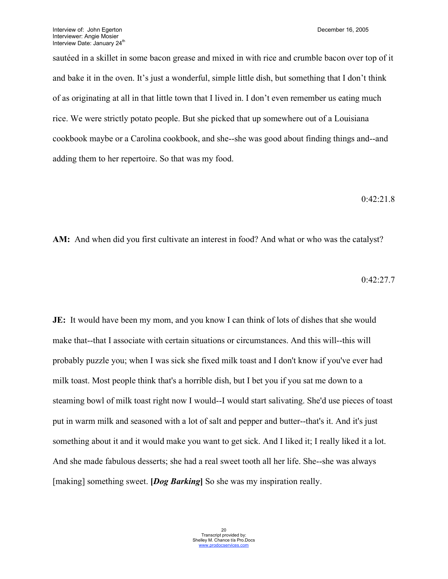sautéed in a skillet in some bacon grease and mixed in with rice and crumble bacon over top of it and bake it in the oven. It's just a wonderful, simple little dish, but something that I don't think of as originating at all in that little town that I lived in. I don't even remember us eating much rice. We were strictly potato people. But she picked that up somewhere out of a Louisiana cookbook maybe or a Carolina cookbook, and she--she was good about finding things and--and adding them to her repertoire. So that was my food.

# 0:42:21.8

**AM:** And when did you first cultivate an interest in food? And what or who was the catalyst?

0:42:27.7

**JE:** It would have been my mom, and you know I can think of lots of dishes that she would make that--that I associate with certain situations or circumstances. And this will--this will probably puzzle you; when I was sick she fixed milk toast and I don't know if you've ever had milk toast. Most people think that's a horrible dish, but I bet you if you sat me down to a steaming bowl of milk toast right now I would--I would start salivating. She'd use pieces of toast put in warm milk and seasoned with a lot of salt and pepper and butter--that's it. And it's just something about it and it would make you want to get sick. And I liked it; I really liked it a lot. And she made fabulous desserts; she had a real sweet tooth all her life. She--she was always [making] something sweet. **[***Dog Barking***]** So she was my inspiration really.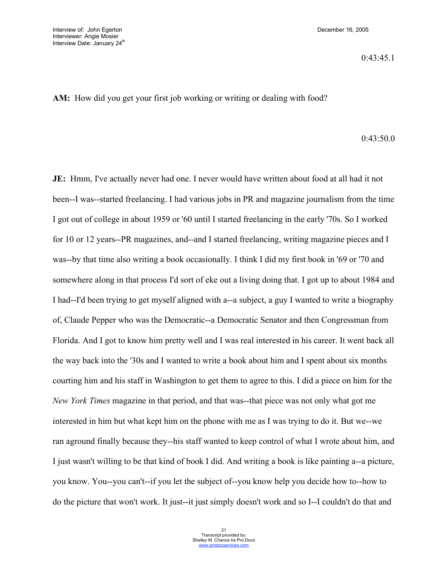**AM:** How did you get your first job working or writing or dealing with food?

## 0:43:50.0

**JE:** Hmm, I've actually never had one. I never would have written about food at all had it not been--I was--started freelancing. I had various jobs in PR and magazine journalism from the time I got out of college in about 1959 or '60 until I started freelancing in the early '70s. So I worked for 10 or 12 years--PR magazines, and--and I started freelancing, writing magazine pieces and I was--by that time also writing a book occasionally. I think I did my first book in '69 or '70 and somewhere along in that process I'd sort of eke out a living doing that. I got up to about 1984 and I had--I'd been trying to get myself aligned with a--a subject, a guy I wanted to write a biography of, Claude Pepper who was the Democratic--a Democratic Senator and then Congressman from Florida. And I got to know him pretty well and I was real interested in his career. It went back all the way back into the '30s and I wanted to write a book about him and I spent about six months courting him and his staff in Washington to get them to agree to this. I did a piece on him for the *New York Times* magazine in that period, and that was--that piece was not only what got me interested in him but what kept him on the phone with me as I was trying to do it. But we--we ran aground finally because they--his staff wanted to keep control of what I wrote about him, and I just wasn't willing to be that kind of book I did. And writing a book is like painting a--a picture, you know. You--you can't--if you let the subject of--you know help you decide how to--how to do the picture that won't work. It just--it just simply doesn't work and so I--I couldn't do that and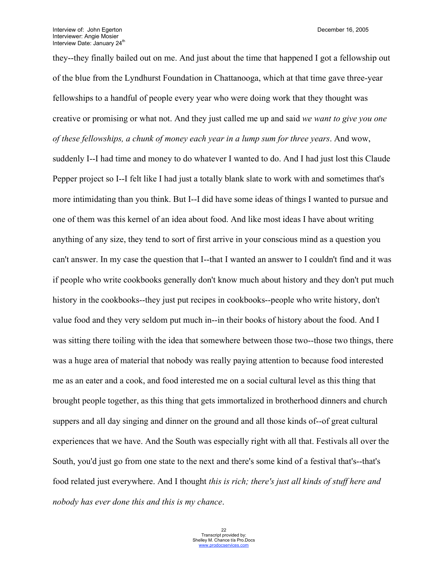they--they finally bailed out on me. And just about the time that happened I got a fellowship out of the blue from the Lyndhurst Foundation in Chattanooga, which at that time gave three-year fellowships to a handful of people every year who were doing work that they thought was creative or promising or what not. And they just called me up and said *we want to give you one of these fellowships, a chunk of money each year in a lump sum for three years*. And wow, suddenly I--I had time and money to do whatever I wanted to do. And I had just lost this Claude Pepper project so I--I felt like I had just a totally blank slate to work with and sometimes that's more intimidating than you think. But I--I did have some ideas of things I wanted to pursue and one of them was this kernel of an idea about food. And like most ideas I have about writing anything of any size, they tend to sort of first arrive in your conscious mind as a question you can't answer. In my case the question that I--that I wanted an answer to I couldn't find and it was if people who write cookbooks generally don't know much about history and they don't put much history in the cookbooks--they just put recipes in cookbooks--people who write history, don't value food and they very seldom put much in--in their books of history about the food. And I was sitting there toiling with the idea that somewhere between those two--those two things, there was a huge area of material that nobody was really paying attention to because food interested me as an eater and a cook, and food interested me on a social cultural level as this thing that brought people together, as this thing that gets immortalized in brotherhood dinners and church suppers and all day singing and dinner on the ground and all those kinds of--of great cultural experiences that we have. And the South was especially right with all that. Festivals all over the South, you'd just go from one state to the next and there's some kind of a festival that's--that's food related just everywhere. And I thought *this is rich; there's just all kinds of stuff here and nobody has ever done this and this is my chance*.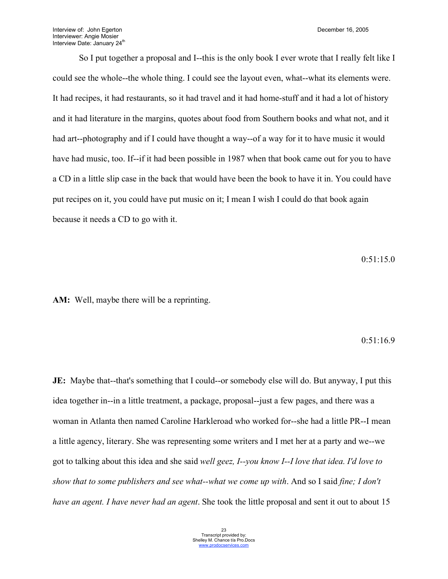So I put together a proposal and I--this is the only book I ever wrote that I really felt like I could see the whole--the whole thing. I could see the layout even, what--what its elements were. It had recipes, it had restaurants, so it had travel and it had home-stuff and it had a lot of history and it had literature in the margins, quotes about food from Southern books and what not, and it had art--photography and if I could have thought a way--of a way for it to have music it would have had music, too. If--if it had been possible in 1987 when that book came out for you to have a CD in a little slip case in the back that would have been the book to have it in. You could have put recipes on it, you could have put music on it; I mean I wish I could do that book again because it needs a CD to go with it.

0:51:15.0

**AM:** Well, maybe there will be a reprinting.

#### 0:51:16.9

**JE:** Maybe that--that's something that I could--or somebody else will do. But anyway, I put this idea together in--in a little treatment, a package, proposal--just a few pages, and there was a woman in Atlanta then named Caroline Harkleroad who worked for--she had a little PR--I mean a little agency, literary. She was representing some writers and I met her at a party and we--we got to talking about this idea and she said *well geez, I--you know I--I love that idea. I'd love to show that to some publishers and see what--what we come up with*. And so I said *fine; I don't have an agent. I have never had an agent*. She took the little proposal and sent it out to about 15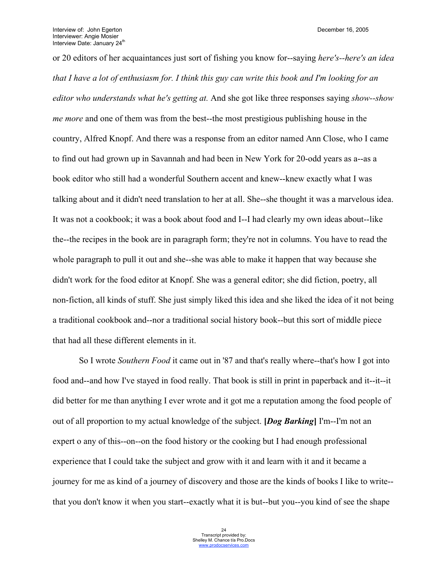or 20 editors of her acquaintances just sort of fishing you know for--saying *here's--here's an idea that I have a lot of enthusiasm for. I think this guy can write this book and I'm looking for an editor who understands what he's getting at.* And she got like three responses saying *show--show me more* and one of them was from the best--the most prestigious publishing house in the country, Alfred Knopf. And there was a response from an editor named Ann Close, who I came to find out had grown up in Savannah and had been in New York for 20-odd years as a--as a book editor who still had a wonderful Southern accent and knew--knew exactly what I was talking about and it didn't need translation to her at all. She--she thought it was a marvelous idea. It was not a cookbook; it was a book about food and I--I had clearly my own ideas about--like the--the recipes in the book are in paragraph form; they're not in columns. You have to read the whole paragraph to pull it out and she--she was able to make it happen that way because she didn't work for the food editor at Knopf. She was a general editor; she did fiction, poetry, all non-fiction, all kinds of stuff. She just simply liked this idea and she liked the idea of it not being a traditional cookbook and--nor a traditional social history book--but this sort of middle piece that had all these different elements in it.

So I wrote *Southern Food* it came out in '87 and that's really where--that's how I got into food and--and how I've stayed in food really. That book is still in print in paperback and it--it--it did better for me than anything I ever wrote and it got me a reputation among the food people of out of all proportion to my actual knowledge of the subject. **[***Dog Barking***]** I'm--I'm not an expert o any of this--on--on the food history or the cooking but I had enough professional experience that I could take the subject and grow with it and learn with it and it became a journey for me as kind of a journey of discovery and those are the kinds of books I like to write- that you don't know it when you start--exactly what it is but--but you--you kind of see the shape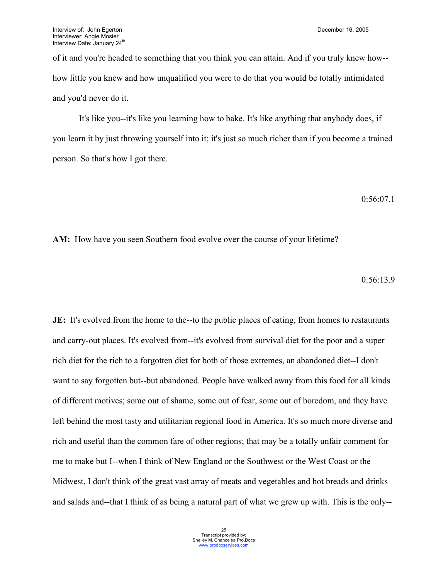of it and you're headed to something that you think you can attain. And if you truly knew how- how little you knew and how unqualified you were to do that you would be totally intimidated and you'd never do it.

It's like you--it's like you learning how to bake. It's like anything that anybody does, if you learn it by just throwing yourself into it; it's just so much richer than if you become a trained person. So that's how I got there.

```
0:56:07.1
```
**AM:** How have you seen Southern food evolve over the course of your lifetime?

$$
0.56\text{:}13.9
$$

**JE:** It's evolved from the home to the--to the public places of eating, from homes to restaurants and carry-out places. It's evolved from--it's evolved from survival diet for the poor and a super rich diet for the rich to a forgotten diet for both of those extremes, an abandoned diet--I don't want to say forgotten but--but abandoned. People have walked away from this food for all kinds of different motives; some out of shame, some out of fear, some out of boredom, and they have left behind the most tasty and utilitarian regional food in America. It's so much more diverse and rich and useful than the common fare of other regions; that may be a totally unfair comment for me to make but I--when I think of New England or the Southwest or the West Coast or the Midwest, I don't think of the great vast array of meats and vegetables and hot breads and drinks and salads and--that I think of as being a natural part of what we grew up with. This is the only--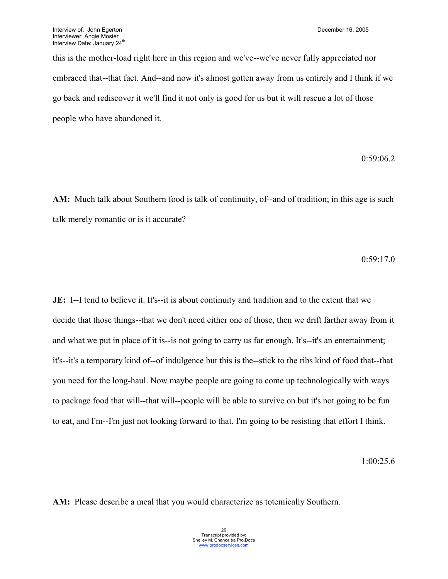this is the mother-load right here in this region and we've--we've never fully appreciated nor embraced that--that fact. And--and now it's almost gotten away from us entirely and I think if we go back and rediscover it we'll find it not only is good for us but it will rescue a lot of those people who have abandoned it.

0:59:06.2

**AM:** Much talk about Southern food is talk of continuity, of--and of tradition; in this age is such talk merely romantic or is it accurate?

0:59:17.0

**JE:** I--I tend to believe it. It's--it is about continuity and tradition and to the extent that we decide that those things--that we don't need either one of those, then we drift farther away from it and what we put in place of it is--is not going to carry us far enough. It's--it's an entertainment; it's--it's a temporary kind of--of indulgence but this is the--stick to the ribs kind of food that--that you need for the long-haul. Now maybe people are going to come up technologically with ways to package food that will--that will--people will be able to survive on but it's not going to be fun to eat, and I'm--I'm just not looking forward to that. I'm going to be resisting that effort I think.

1:00:25.6

**AM:** Please describe a meal that you would characterize as totemically Southern.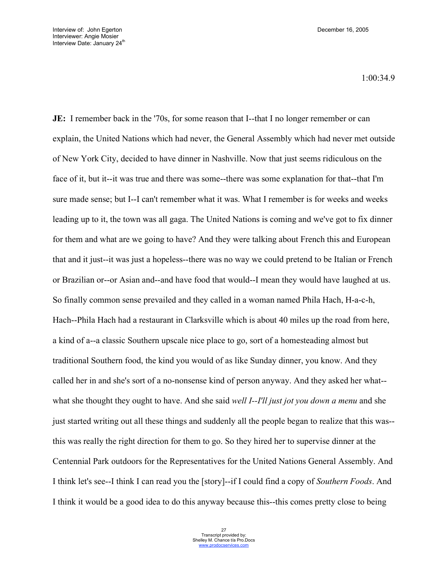1:00:34.9

**JE:** I remember back in the '70s, for some reason that I--that I no longer remember or can explain, the United Nations which had never, the General Assembly which had never met outside of New York City, decided to have dinner in Nashville. Now that just seems ridiculous on the face of it, but it--it was true and there was some--there was some explanation for that--that I'm sure made sense; but I--I can't remember what it was. What I remember is for weeks and weeks leading up to it, the town was all gaga. The United Nations is coming and we've got to fix dinner for them and what are we going to have? And they were talking about French this and European that and it just--it was just a hopeless--there was no way we could pretend to be Italian or French or Brazilian or--or Asian and--and have food that would--I mean they would have laughed at us. So finally common sense prevailed and they called in a woman named Phila Hach, H-a-c-h, Hach--Phila Hach had a restaurant in Clarksville which is about 40 miles up the road from here, a kind of a--a classic Southern upscale nice place to go, sort of a homesteading almost but traditional Southern food, the kind you would of as like Sunday dinner, you know. And they called her in and she's sort of a no-nonsense kind of person anyway. And they asked her what- what she thought they ought to have. And she said *well I--I'll just jot you down a menu* and she just started writing out all these things and suddenly all the people began to realize that this was- this was really the right direction for them to go. So they hired her to supervise dinner at the Centennial Park outdoors for the Representatives for the United Nations General Assembly. And I think let's see--I think I can read you the [story]--if I could find a copy of *Southern Foods*. And I think it would be a good idea to do this anyway because this--this comes pretty close to being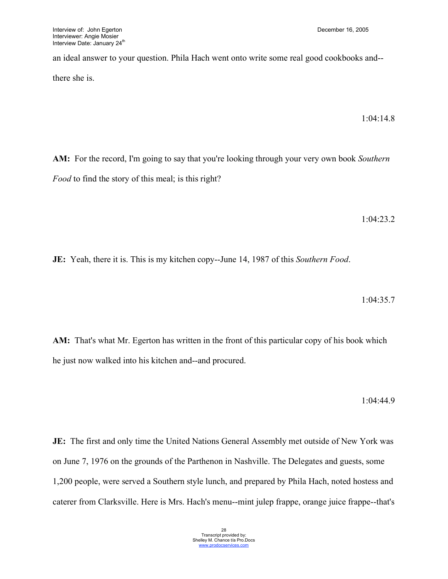an ideal answer to your question. Phila Hach went onto write some real good cookbooks and- there she is.

1:04:14.8

**AM:** For the record, I'm going to say that you're looking through your very own book *Southern Food* to find the story of this meal; is this right?

1:04:23.2

**JE:** Yeah, there it is. This is my kitchen copy--June 14, 1987 of this *Southern Food*.

1:04:35.7

**AM:** That's what Mr. Egerton has written in the front of this particular copy of his book which he just now walked into his kitchen and--and procured.

1:04:44.9

**JE:** The first and only time the United Nations General Assembly met outside of New York was on June 7, 1976 on the grounds of the Parthenon in Nashville. The Delegates and guests, some 1,200 people, were served a Southern style lunch, and prepared by Phila Hach, noted hostess and caterer from Clarksville. Here is Mrs. Hach's menu--mint julep frappe, orange juice frappe--that's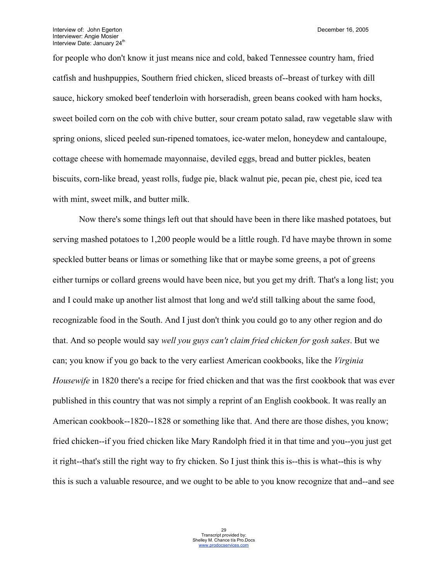for people who don't know it just means nice and cold, baked Tennessee country ham, fried catfish and hushpuppies, Southern fried chicken, sliced breasts of--breast of turkey with dill sauce, hickory smoked beef tenderloin with horseradish, green beans cooked with ham hocks, sweet boiled corn on the cob with chive butter, sour cream potato salad, raw vegetable slaw with spring onions, sliced peeled sun-ripened tomatoes, ice-water melon, honeydew and cantaloupe, cottage cheese with homemade mayonnaise, deviled eggs, bread and butter pickles, beaten biscuits, corn-like bread, yeast rolls, fudge pie, black walnut pie, pecan pie, chest pie, iced tea with mint, sweet milk, and butter milk.

Now there's some things left out that should have been in there like mashed potatoes, but serving mashed potatoes to 1,200 people would be a little rough. I'd have maybe thrown in some speckled butter beans or limas or something like that or maybe some greens, a pot of greens either turnips or collard greens would have been nice, but you get my drift. That's a long list; you and I could make up another list almost that long and we'd still talking about the same food, recognizable food in the South. And I just don't think you could go to any other region and do that. And so people would say *well you guys can't claim fried chicken for gosh sakes*. But we can; you know if you go back to the very earliest American cookbooks, like the *Virginia Housewife* in 1820 there's a recipe for fried chicken and that was the first cookbook that was ever published in this country that was not simply a reprint of an English cookbook. It was really an American cookbook--1820--1828 or something like that. And there are those dishes, you know; fried chicken--if you fried chicken like Mary Randolph fried it in that time and you--you just get it right--that's still the right way to fry chicken. So I just think this is--this is what--this is why this is such a valuable resource, and we ought to be able to you know recognize that and--and see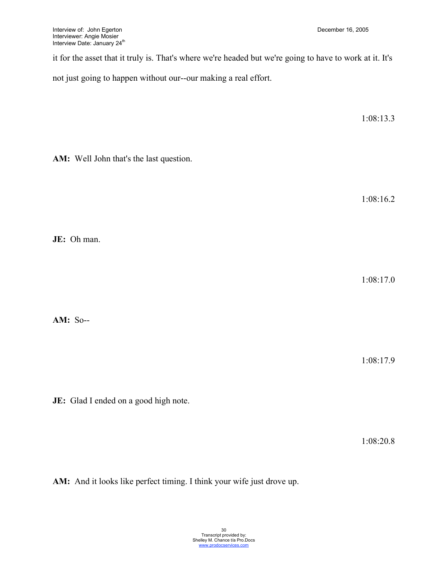it for the asset that it truly is. That's where we're headed but we're going to have to work at it. It's

not just going to happen without our--our making a real effort.

**AM:** Well John that's the last question.

1:08:16.2

1:08:13.3

1:08:17.0

**AM:** So--

**JE:** Oh man.

1:08:17.9

**JE:** Glad I ended on a good high note.

1:08:20.8

**AM:** And it looks like perfect timing. I think your wife just drove up.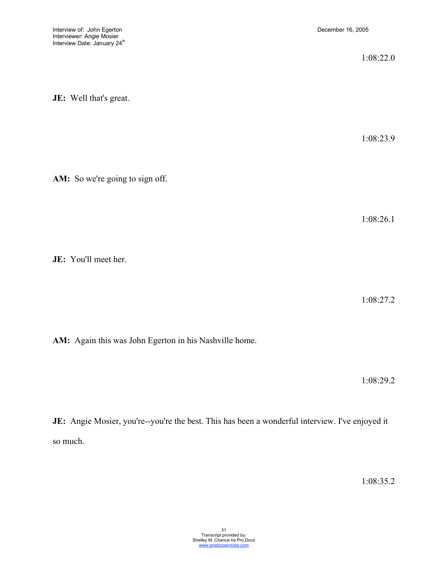|                                 | 1:08:22.0 |
|---------------------------------|-----------|
| JE: Well that's great.          |           |
|                                 | 1:08:23.9 |
| AM: So we're going to sign off. |           |
|                                 | 1:08:26.1 |
| JE: You'll meet her.            |           |
|                                 | 1:08:27.2 |

**AM:** Again this was John Egerton in his Nashville home.

1:08:29.2

JE: Angie Mosier, you're--you're the best. This has been a wonderful interview. I've enjoyed it so much.

1:08:35.2